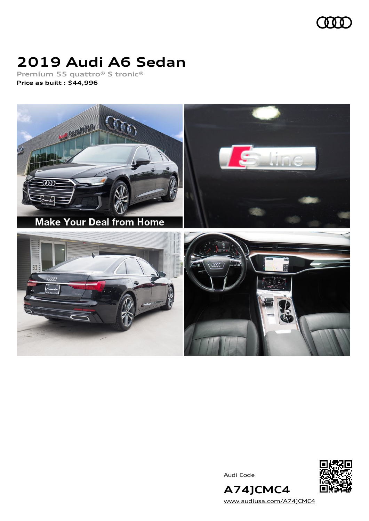

# **2019 Audi A6 Sedan**

**Premium 55 quattro® S tronic® Price as built [:](#page-10-0) \$44,996**



Audi Code



[www.audiusa.com/A74JCMC4](https://www.audiusa.com/A74JCMC4)

**A74JCMC4**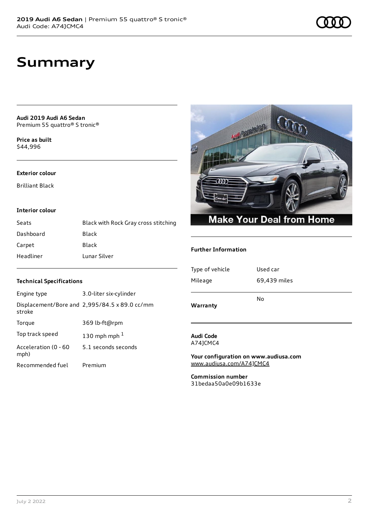# **Summary**

**Audi 2019 Audi A6 Sedan** Premium 55 quattro® S tronic®

**Price as buil[t](#page-10-0)** \$44,996

#### **Exterior colour**

Brilliant Black

#### **Interior colour**

| Seats     | Black with Rock Gray cross stitching |
|-----------|--------------------------------------|
| Dashboard | Black                                |
| Carpet    | Black                                |
| Headliner | Lunar Silver                         |



#### **Further Information**

| Warranty        |              |
|-----------------|--------------|
|                 | No           |
| Mileage         | 69,439 miles |
| Type of vehicle | Used car     |
|                 |              |

#### **Audi Code** A74JCMC4

**Your configuration on www.audiusa.com** [www.audiusa.com/A74JCMC4](https://www.audiusa.com/A74JCMC4)

**Commission number** 31bedaa50a0e09b1633e

#### **Technical Specifications**

| Engine type                  | 3.0-liter six-cylinder                        |
|------------------------------|-----------------------------------------------|
| stroke                       | Displacement/Bore and 2,995/84.5 x 89.0 cc/mm |
| Torque                       | 369 lb-ft@rpm                                 |
| Top track speed              | 130 mph mph $1$                               |
| Acceleration (0 - 60<br>mph) | 5.1 seconds seconds                           |
| Recommended fuel             | Premium                                       |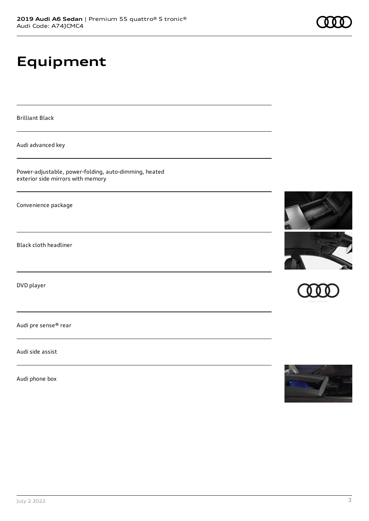# **Equipment**

Brilliant Black

Audi advanced key

Power-adjustable, power-folding, auto-dimming, heated exterior side mirrors with memory

Convenience package

Black cloth headliner

DVD player

Audi pre sense® rear

Audi side assist

Audi phone box







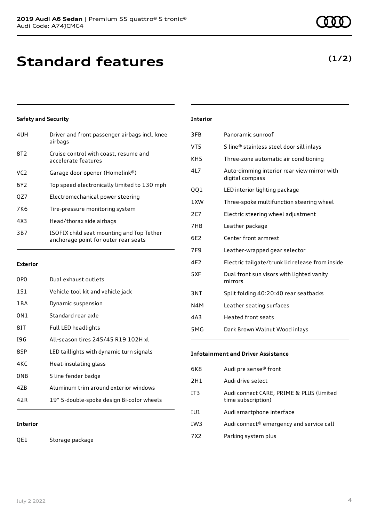# **Standard features**

### **Safety and Security**

| 4UH             | Driver and front passenger airbags incl. knee<br>airbags                          |
|-----------------|-----------------------------------------------------------------------------------|
| 8T <sub>2</sub> | Cruise control with coast, resume and<br>accelerate features                      |
| VC <sub>2</sub> | Garage door opener (Homelink®)                                                    |
| 6Y <sub>2</sub> | Top speed electronically limited to 130 mph                                       |
| QZ7             | Electromechanical power steering                                                  |
| 7K <sub>6</sub> | Tire-pressure monitoring system                                                   |
| 4X3             | Head/thorax side airbags                                                          |
| 3B7             | ISOFIX child seat mounting and Top Tether<br>anchorage point for outer rear seats |

#### **Exterior**

| 0PO             | Dual exhaust outlets                      |
|-----------------|-------------------------------------------|
| 1S1             | Vehicle tool kit and vehicle jack         |
| 1 B A           | Dynamic suspension                        |
| 0N1             | Standard rear axle                        |
| 81T             | Full LED headlights                       |
| 196             | All-season tires 245/45 R19 102H xl       |
| 8SP             | LED taillights with dynamic turn signals  |
| 4KC             | Heat-insulating glass                     |
| 0 <sub>NB</sub> | S line fender badge                       |
| 47B             | Aluminum trim around exterior windows     |
| 42 R            | 19" 5-double-spoke design Bi-color wheels |
|                 |                                           |

### **Interior**

QE1 Storage package

#### **Interior**

| 3FB              | Panoramic sunroof                                              |
|------------------|----------------------------------------------------------------|
| VT5              | S line® stainless steel door sill inlays                       |
| KH5              | Three-zone automatic air conditioning                          |
| 4L7              | Auto-dimming interior rear view mirror with<br>digital compass |
| QQ1              | LED interior lighting package                                  |
| 1XW              | Three-spoke multifunction steering wheel                       |
| 2C7              | Electric steering wheel adjustment                             |
| 7HB              | Leather package                                                |
| 6F <sub>2</sub>  | Center front armrest                                           |
| 7F <sub>9</sub>  | Leather-wrapped gear selector                                  |
| 4E2              | Electric tailgate/trunk lid release from inside                |
| 5XF              | Dual front sun visors with lighted vanity<br>mirrors           |
| 3NT              | Split folding 40:20:40 rear seatbacks                          |
| N4M              | Leather seating surfaces                                       |
| 4A3              | Heated front seats                                             |
| 5 <sub>M</sub> G | Dark Brown Walnut Wood inlays                                  |
|                  |                                                                |

#### **Infotainment and Driver Assistance**

| 6K8             | Audi pre sense <sup>®</sup> front                              |
|-----------------|----------------------------------------------------------------|
| 2H1             | Audi drive select                                              |
| IT <sub>3</sub> | Audi connect CARE, PRIME & PLUS (limited<br>time subscription) |
| IU1             | Audi smartphone interface                                      |
| IW <sub>3</sub> | Audi connect® emergency and service call                       |
| 7 X 2           | Parking system plus                                            |
|                 |                                                                |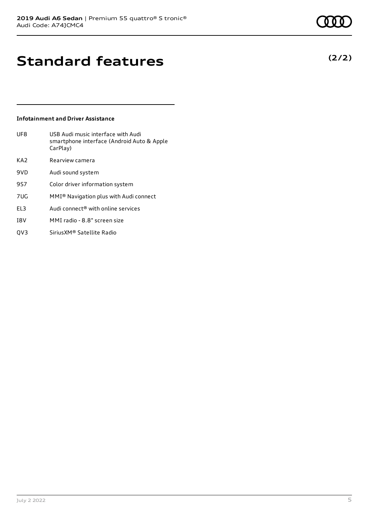# **Standard features**

#### **Infotainment and Driver Assistance**

| UF8             | USB Audi music interface with Audi<br>smartphone interface (Android Auto & Apple<br>CarPlay) |
|-----------------|----------------------------------------------------------------------------------------------|
| KA <sub>2</sub> | Rearview camera                                                                              |
| 9VD             | Audi sound system                                                                            |
| 9S7             | Color driver information system                                                              |
| 7UG             | MMI <sup>®</sup> Navigation plus with Audi connect                                           |
| EL3             | Audi connect <sup>®</sup> with online services                                               |
| I8V             | MMI radio - 8.8" screen size                                                                 |
|                 |                                                                                              |

QV3 SiriusXM® Satellite Radio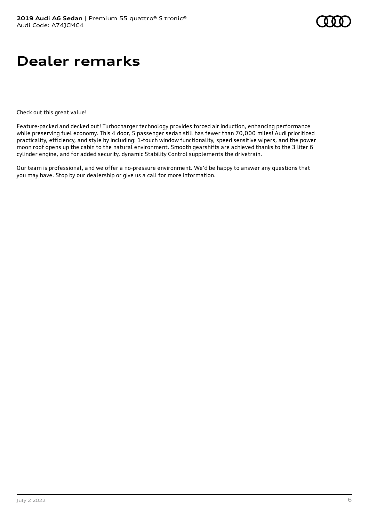# **Dealer remarks**

Check out this great value!

Feature-packed and decked out! Turbocharger technology provides forced air induction, enhancing performance while preserving fuel economy. This 4 door, 5 passenger sedan still has fewer than 70,000 miles! Audi prioritized practicality, efficiency, and style by including: 1-touch window functionality, speed sensitive wipers, and the power moon roof opens up the cabin to the natural environment. Smooth gearshifts are achieved thanks to the 3 liter 6 cylinder engine, and for added security, dynamic Stability Control supplements the drivetrain.

Our team is professional, and we offer a no-pressure environment. We'd be happy to answer any questions that you may have. Stop by our dealership or give us a call for more information.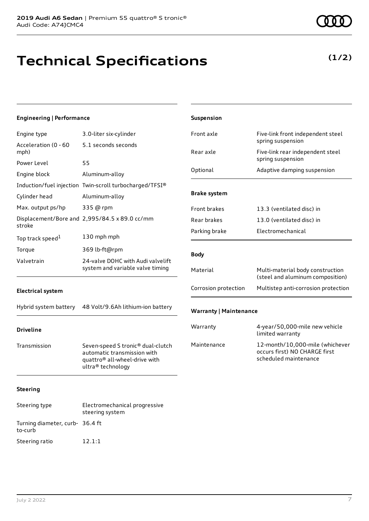# **Technical Specifications**

**(1/2)**

| <b>Engineering   Performance</b> |                                                                                                                        | Suspension                    |                                                                                           |
|----------------------------------|------------------------------------------------------------------------------------------------------------------------|-------------------------------|-------------------------------------------------------------------------------------------|
| Engine type                      | 3.0-liter six-cylinder                                                                                                 | Front axle                    | Five-link front independent steel                                                         |
| Acceleration (0 - 60<br>mph)     | 5.1 seconds seconds                                                                                                    | Rear axle                     | spring suspension<br>Five-link rear independent steel                                     |
| Power Level                      | 55                                                                                                                     |                               | spring suspension                                                                         |
| Engine block                     | Aluminum-alloy                                                                                                         | Optional                      | Adaptive damping suspension                                                               |
|                                  | Induction/fuel injection Twin-scroll turbocharged/TFSI®                                                                |                               |                                                                                           |
| Cylinder head                    | Aluminum-alloy                                                                                                         | <b>Brake system</b>           |                                                                                           |
| Max. output ps/hp                | 335 @ rpm                                                                                                              | Front brakes                  | 13.3 (ventilated disc) in                                                                 |
| stroke                           | Displacement/Bore and 2,995/84.5 x 89.0 cc/mm                                                                          | Rear brakes                   | 13.0 (ventilated disc) in                                                                 |
| Top track speed <sup>1</sup>     | 130 mph mph                                                                                                            | Parking brake                 | Electromechanical                                                                         |
| Torque                           | 369 lb-ft@rpm                                                                                                          |                               |                                                                                           |
| Valvetrain                       | 24-valve DOHC with Audi valvelift                                                                                      | <b>Body</b>                   |                                                                                           |
|                                  | system and variable valve timing                                                                                       | Material                      | Multi-material body construction<br>(steel and aluminum composition)                      |
| <b>Electrical system</b>         |                                                                                                                        | Corrosion protection          | Multistep anti-corrosion protection                                                       |
| Hybrid system battery            | 48 Volt/9.6Ah lithium-ion battery                                                                                      | <b>Warranty   Maintenance</b> |                                                                                           |
| <b>Driveline</b>                 |                                                                                                                        | Warranty                      | 4-year/50,000-mile new vehicle<br>limited warranty                                        |
| Transmission                     | Seven-speed S tronic® dual-clutch<br>automatic transmission with<br>quattro® all-wheel-drive with<br>ultra® technology | Maintenance                   | 12-month/10,000-mile (whichever<br>occurs first) NO CHARGE first<br>scheduled maintenance |
| <b>Steering</b>                  |                                                                                                                        |                               |                                                                                           |
| Steering type                    | Electromechanical progressive<br>steering system                                                                       |                               |                                                                                           |
| Turning diameter, curb- 36.4 ft  |                                                                                                                        |                               |                                                                                           |

to-curb

Steering ratio 12.1:1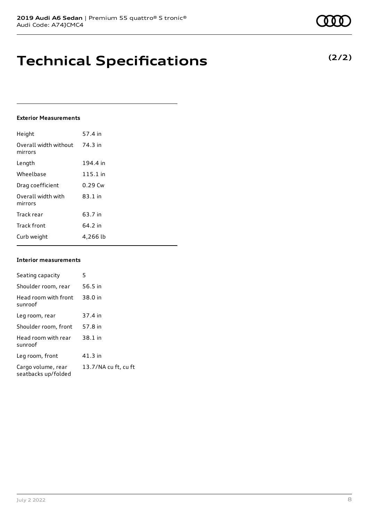# **Technical Specifications**

#### **Exterior Measurements**

| Height                           | 57.4 in    |
|----------------------------------|------------|
| Overall width without<br>mirrors | 74.3 in    |
| Length                           | 194.4 in   |
| Wheelbase                        | $115.1$ in |
| Drag coefficient                 | $0.29$ Cw  |
| Overall width with<br>mirrors    | 83.1 in    |
| Track rear                       | 63.7 in    |
| <b>Track front</b>               | 64.2 in    |
| Curb weight                      | 4,266 lb   |

#### **Interior measurements**

| Seating capacity                          | 5                    |
|-------------------------------------------|----------------------|
| Shoulder room, rear                       | 56.5 in              |
| Head room with front<br>sunroof           | 38.0 in              |
| Leg room, rear                            | 37.4 in              |
| Shoulder room, front                      | 57.8 in              |
| Head room with rear<br>sunroof            | 38.1 in              |
| Leg room, front                           | 41.3 in              |
| Cargo volume, rear<br>seatbacks up/folded | 13.7/NA cu ft, cu ft |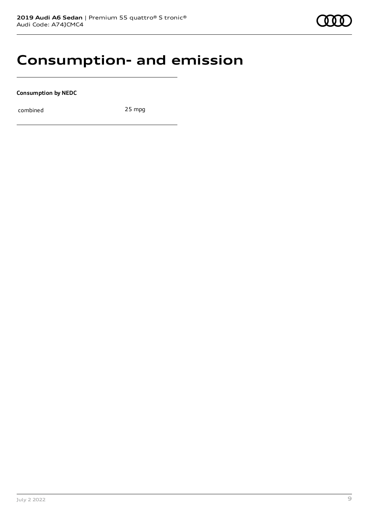### **Consumption- and emission**

**Consumption by NEDC**

combined 25 mpg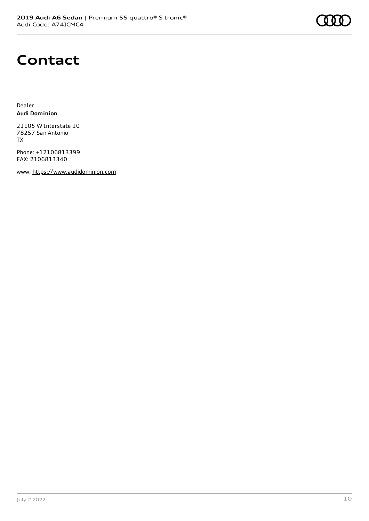### **Contact**

Dealer **Audi Dominion**

21105 W Interstate 10 78257 San Antonio TX

Phone: +12106813399 FAX: 2106813340

www: [https://www.audidominion.com](https://www.audidominion.com/)